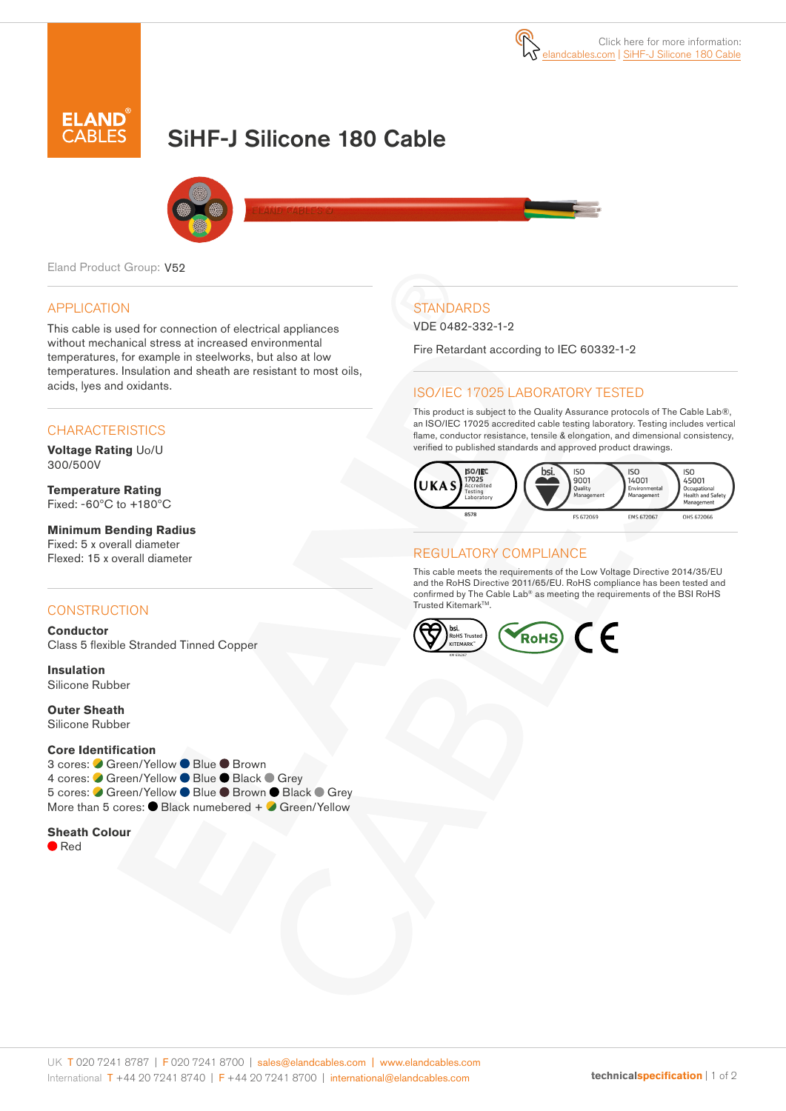

# SiHF-J Silicone 180 Cable



Eland Product Group: V52

#### APPLICATION

This cable is used for connection of electrical appliances without mechanical stress at increased environmental temperatures, for example in steelworks, but also at low temperatures. Insulation and sheath are resistant to most oils, acids, lyes and oxidants.

#### **CHARACTERISTICS**

**Voltage Rating** Uo/U 300/500V

**Temperature Rating** Fixed: -60ºC to +180ºC

**Minimum Bending Radius**  Fixed: 5 x overall diameter Flexed: 15 x overall diameter

#### **CONSTRUCTION**

**Conductor** Class 5 flexible Stranded Tinned Copper

**Insulation** Silicone Rubber

**Outer Sheath** Silicone Rubber

#### **Core Identification**

3 cores: ● Green/Yellow ● Blue ● Brown 4 cores: ● Green/Yellow ● Blue ● Black ● Grey 5 cores: ● Green/Yellow ● Blue ● Brown ● Black ● Grey More than 5 cores:  $\bullet$  Black numebered +  $\bullet$  Green/Yellow

#### **Sheath Colour**

● Red

## **STANDARDS**

VDE 0482-332-1-2

Fire Retardant according to IEC 60332-1-2

### ISO/IEC 17025 LABORATORY TESTED

This product is subject to the Quality Assurance protocols of The Cable Lab®, an ISO/IEC 17025 accredited cable testing laboratory. Testing includes vertical flame, conductor resistance, tensile & elongation, and dimensional consistency, verified to published standards and approved product drawings.



#### REGULATORY COMPLIANCE

This cable meets the requirements of the Low Voltage Directive 2014/35/EU and the RoHS Directive 2011/65/EU. RoHS compliance has been tested and confirmed by The Cable Lab® as meeting the requirements of the BSI RoHS Trusted KitemarkTM.